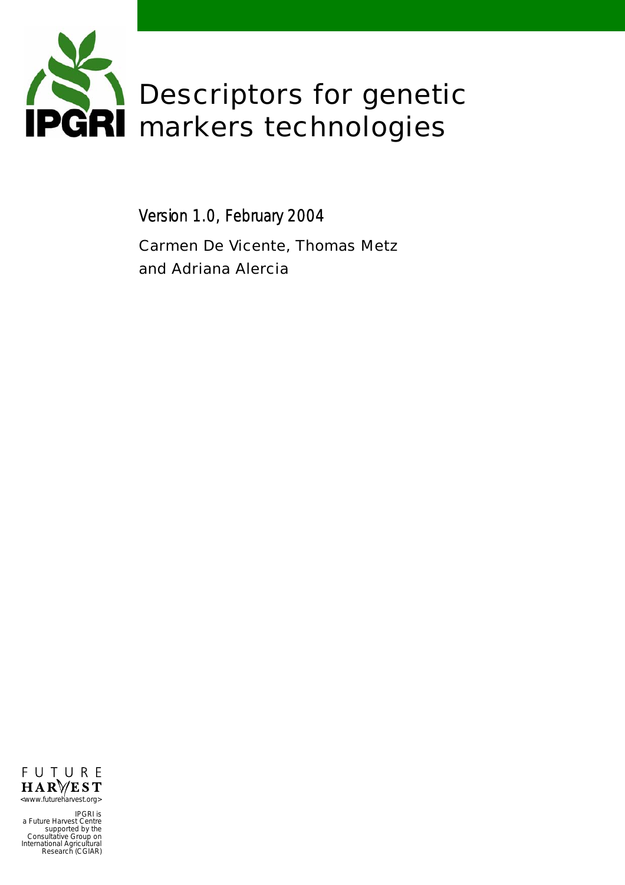

Version 1.0, February 2004

Carmen De Vicente, Thomas Metz and Adriana Alercia



IPGRI is a Future Harvest Centre supported by the Consultative Group on International Agricultural Research (CGIAR)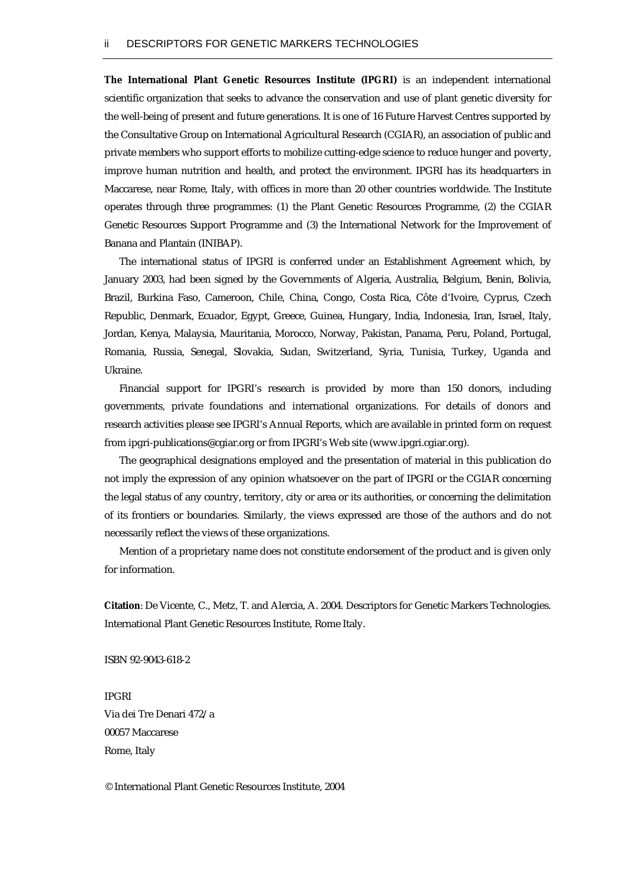*The International Plant Genetic Resources Institute (IPGRI)* is an independent international scientific organization that seeks to advance the conservation and use of plant genetic diversity for the well-being of present and future generations. It is one of 16 Future Harvest Centres supported by the Consultative Group on International Agricultural Research (CGIAR), an association of public and private members who support efforts to mobilize cutting-edge science to reduce hunger and poverty, improve human nutrition and health, and protect the environment. IPGRI has its headquarters in Maccarese, near Rome, Italy, with offices in more than 20 other countries worldwide. The Institute operates through three programmes: (1) the Plant Genetic Resources Programme, (2) the CGIAR Genetic Resources Support Programme and (3) the International Network for the Improvement of Banana and Plantain (INIBAP).

 The international status of IPGRI is conferred under an Establishment Agreement which, by January 2003, had been signed by the Governments of Algeria, Australia, Belgium, Benin, Bolivia, Brazil, Burkina Faso, Cameroon, Chile, China, Congo, Costa Rica, Côte d'Ivoire, Cyprus, Czech Republic, Denmark, Ecuador, Egypt, Greece, Guinea, Hungary, India, Indonesia, Iran, Israel, Italy, Jordan, Kenya, Malaysia, Mauritania, Morocco, Norway, Pakistan, Panama, Peru, Poland, Portugal, Romania, Russia, Senegal, Slovakia, Sudan, Switzerland, Syria, Tunisia, Turkey, Uganda and Ukraine.

 Financial support for IPGRI's research is provided by more than 150 donors, including governments, private foundations and international organizations. For details of donors and research activities please see IPGRI's Annual Reports, which are available in printed form on request from ipgri-publications@cgiar.org or from IPGRI's Web site ([www.ipgri.cgiar.org\)](http://www.ipgri.cgiar.org/).

 The geographical designations employed and the presentation of material in this publication do not imply the expression of any opinion whatsoever on the part of IPGRI or the CGIAR concerning the legal status of any country, territory, city or area or its authorities, or concerning the delimitation of its frontiers or boundaries. Similarly, the views expressed are those of the authors and do not necessarily reflect the views of these organizations.

 Mention of a proprietary name does not constitute endorsement of the product and is given only for information.

*Citation*: De Vicente, C., Metz, T. and Alercia, A. 2004. Descriptors for Genetic Markers Technologies. International Plant Genetic Resources Institute, Rome Italy.

ISBN 92-9043-618-2

IPGRI Via dei Tre Denari 472/a 00057 Maccarese Rome, Italy

© International Plant Genetic Resources Institute, 2004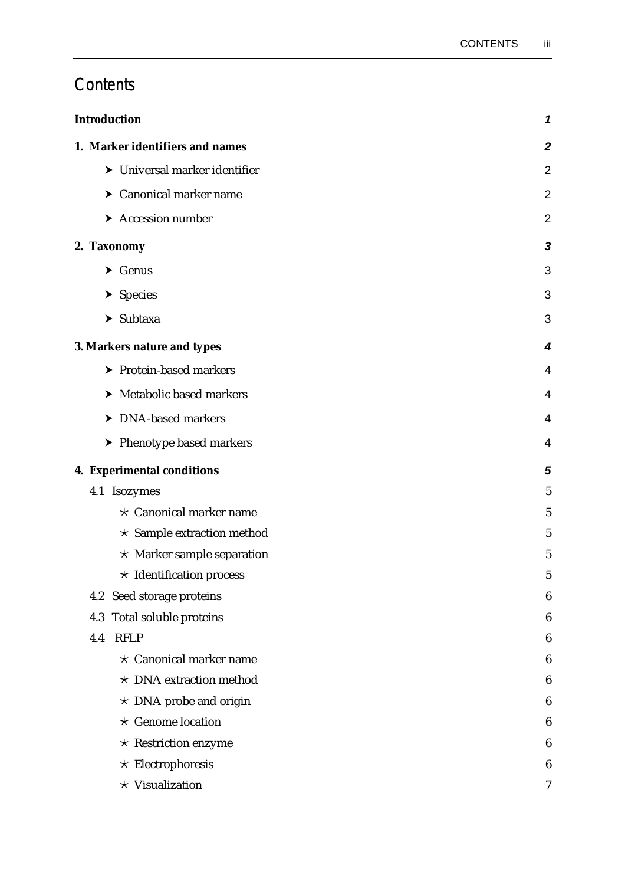# **Contents**

| <b>Introduction</b> |                                        | 1              |
|---------------------|----------------------------------------|----------------|
|                     | 1. Marker identifiers and names        | $\mathbf{2}$   |
|                     | > Universal marker identifier          | $\overline{2}$ |
|                     | > Canonical marker name                | $\overline{2}$ |
|                     | $\blacktriangleright$ Accession number | $\overline{2}$ |
|                     | 2. Taxonomy                            | 3              |
|                     | $\blacktriangleright$ Genus            | 3              |
|                     | $\blacktriangleright$ Species          | 3              |
|                     | $\blacktriangleright$ Subtaxa          | 3              |
|                     | 3. Markers nature and types            | 4              |
|                     | > Protein-based markers                | 4              |
|                     | > Metabolic based markers              | 4              |
|                     | > DNA-based markers                    | 4              |
|                     | > Phenotype based markers              | 4              |
|                     | 4. Experimental conditions             | 5              |
|                     | 4.1 Isozymes                           | $\overline{5}$ |
|                     | $\star$ Canonical marker name          | $\overline{5}$ |
|                     | $\star$ Sample extraction method       | 5              |
|                     | $\star$ Marker sample separation       | $\overline{5}$ |
|                     | $\star$ Identification process         | 5              |
|                     | Seed storage proteins<br>4.2           | 6              |
|                     | Total soluble proteins<br>4.3          | 6              |
|                     | <b>RFLP</b><br>4.4                     | 6              |
|                     | $\star$ Canonical marker name          | 6              |
|                     | * DNA extraction method                | 6              |
|                     | $\star$ DNA probe and origin           | 6              |
|                     | $\star$ Genome location                | 6              |
|                     | $\star$ Restriction enzyme             | 6              |
|                     | $\star$ Electrophoresis                | 6              |
|                     | * Visualization                        | 7              |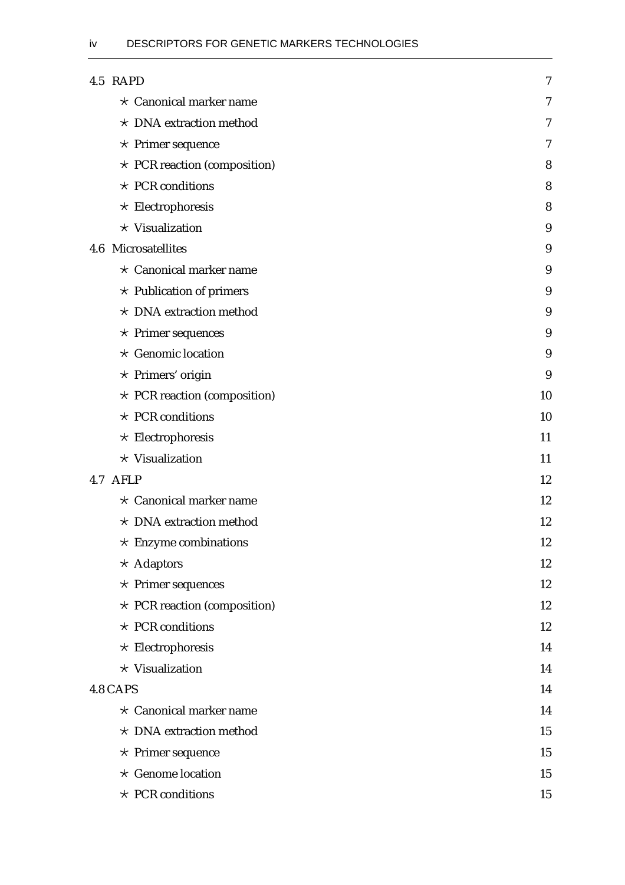| 4.5 RAPD                           | 7  |
|------------------------------------|----|
| $\star$ Canonical marker name      | 7  |
| $\star$ DNA extraction method      | 7  |
| $\star$ Primer sequence            | 7  |
| $\star$ PCR reaction (composition) | 8  |
| $\star$ PCR conditions             | 8  |
| $\star$ Electrophoresis            | 8  |
| * Visualization                    | 9  |
| 4.6 Microsatellites                | 9  |
| $\star$ Canonical marker name      | 9  |
| $\star$ Publication of primers     | 9  |
| * DNA extraction method            | 9  |
| $\star$ Primer sequences           | 9  |
| $\star$ Genomic location           | 9  |
| $\star$ Primers' origin            | 9  |
| * PCR reaction (composition)       | 10 |
| $\star$ PCR conditions             | 10 |
| $\star$ Electrophoresis            | 11 |
| * Visualization                    | 11 |
| 4.7 AFLP                           | 12 |
| $\star$ Canonical marker name      | 12 |
| $\star$ DNA extraction method      | 12 |
| $\star$ Enzyme combinations        | 12 |
| $\star$ Adaptors                   | 12 |
| $\star$ Primer sequences           | 12 |
| $\star$ PCR reaction (composition) | 12 |
| $\star$ PCR conditions             | 12 |
| $\star$ Electrophoresis            | 14 |
| * Visualization                    | 14 |
| 4.8 CAPS                           | 14 |
| $\star$ Canonical marker name      | 14 |
| * DNA extraction method            | 15 |
| $\star$ Primer sequence            | 15 |
| $\star$ Genome location            | 15 |
| $\star$ PCR conditions             | 15 |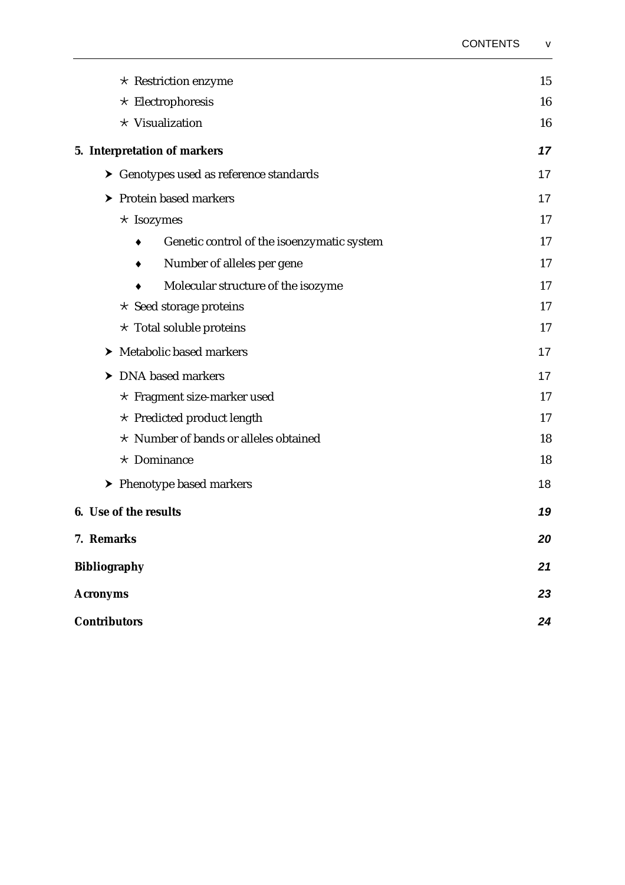|                                                                                                                     | $\star$ Restriction enzyme                 | 15       |
|---------------------------------------------------------------------------------------------------------------------|--------------------------------------------|----------|
|                                                                                                                     | $\star$ Electrophoresis                    | 16       |
|                                                                                                                     | * Visualization                            | 16       |
|                                                                                                                     | 5. Interpretation of markers               | 17       |
|                                                                                                                     | > Genotypes used as reference standards    | 17       |
|                                                                                                                     | > Protein based markers                    | 17       |
|                                                                                                                     | $\star$ Isozymes                           | 17       |
|                                                                                                                     | Genetic control of the isoenzymatic system | 17       |
|                                                                                                                     | Number of alleles per gene                 | 17       |
|                                                                                                                     | Molecular structure of the isozyme         | 17       |
| $\star$ Seed storage proteins<br>$\star$ Total soluble proteins<br>> Metabolic based markers<br>> DNA based markers |                                            | 17       |
|                                                                                                                     |                                            | 17<br>17 |
|                                                                                                                     |                                            |          |
|                                                                                                                     |                                            |          |
|                                                                                                                     | $\star$ Predicted product length           | 17       |
|                                                                                                                     | * Number of bands or alleles obtained      | 18       |
|                                                                                                                     | $\star$ Dominance                          | 18       |
|                                                                                                                     | > Phenotype based markers                  | 18       |
|                                                                                                                     | <b>6.</b> Use of the results               | 19       |
|                                                                                                                     | 7. Remarks                                 | 20       |
| <b>Bibliography</b><br><b>Acronyms</b>                                                                              |                                            | 21       |
|                                                                                                                     |                                            | 23       |
| <b>Contributors</b>                                                                                                 |                                            | 24       |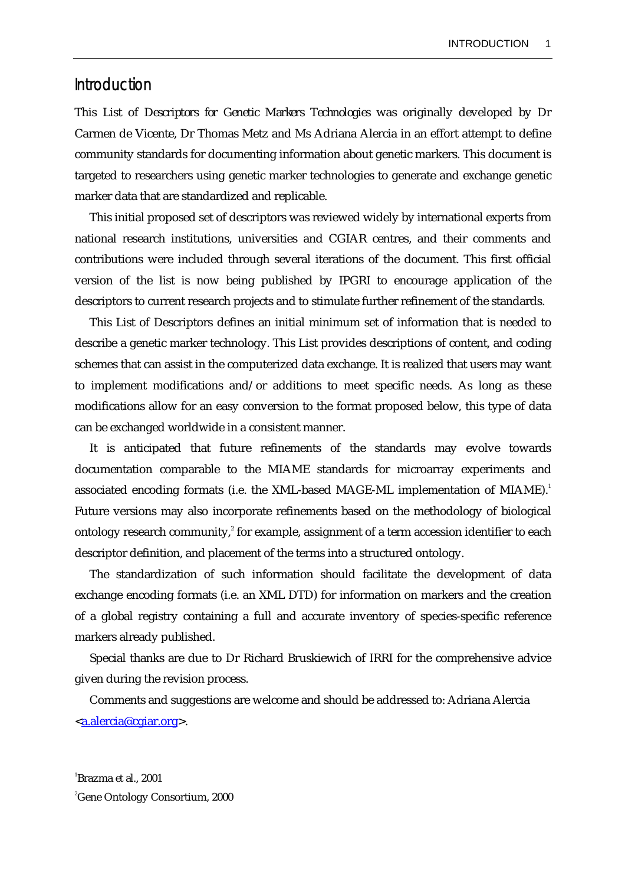## <span id="page-6-0"></span>Introduction

This List of *Descriptors for Genetic Markers Technologies* was originally developed by Dr Carmen de Vicente, Dr Thomas Metz and Ms Adriana Alercia in an effort attempt to define community standards for documenting information about genetic markers. This document is targeted to researchers using genetic marker technologies to generate and exchange genetic marker data that are standardized and replicable.

 This initial proposed set of descriptors was reviewed widely by international experts from national research institutions, universities and CGIAR centres, and their comments and contributions were included through several iterations of the document. This first official version of the list is now being published by IPGRI to encourage application of the descriptors to current research projects and to stimulate further refinement of the standards.

 This List of Descriptors defines an initial minimum set of information that is needed to describe a genetic marker technology. This List provides descriptions of content, and coding schemes that can assist in the computerized data exchange. It is realized that users may want to implement modifications and/or additions to meet specific needs. As long as these modifications allow for an easy conversion to the format proposed below, this type of data can be exchanged worldwide in a consistent manner.

 It is anticipated that future refinements of the standards may evolve towards documentation comparable to the MIAME standards for microarray experiments and associated encoding formats (i.e. the XML-based MAGE-ML implementation of MIAME).<sup>[1](#page-6-1)</sup> Future versions may also incorporate refinements based on the methodology of biological ontology research community, $^{2}$  [f](#page-6-2)or example, assignment of a term accession identifier to each descriptor definition, and placement of the terms into a structured ontology.

 The standardization of such information should facilitate the development of data exchange encoding formats (i.e. an XML DTD) for information on markers and the creation of a global registry containing a full and accurate inventory of species-specific reference markers already published.

 Special thanks are due to Dr Richard Bruskiewich of IRRI for the comprehensive advice given during the revision process.

 Comments and suggestions are welcome and should be addressed to: Adriana Alercia <[a.alercia@cgiar.org](mailto:a.alercia@cgiar.org?subject=Descriptors%20for%20Genetic%20Markers%20Technology)>.

<span id="page-6-2"></span><span id="page-6-1"></span>1 Brazma *et al*., 2001 2 Gene Ontology Consortium, 2000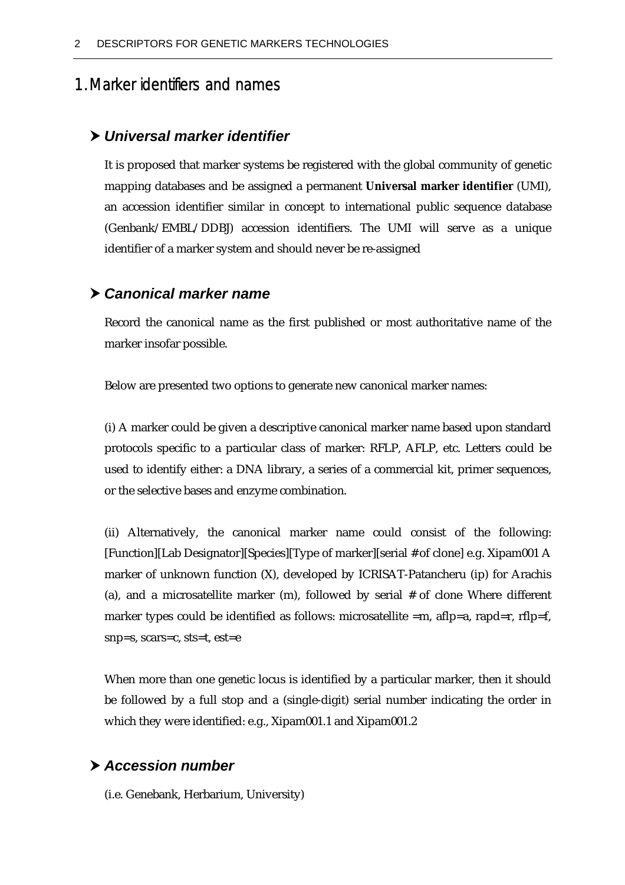# <span id="page-7-0"></span>1. Marker identifiers and names

## h *Universal marker identifier*

It is proposed that marker systems be registered with the global community of genetic mapping databases and be assigned a permanent *Universal marker identifier* (UMI), an accession identifier similar in concept to international public sequence database (Genbank/EMBL/DDBJ) accession identifiers. The UMI will serve as a unique identifier of a marker system and should never be re-assigned

## h *Canonical marker name*

Record the canonical name as the first published or most authoritative name of the marker insofar possible.

Below are presented two options to generate new canonical marker names:

(i) A marker could be given a descriptive canonical marker name based upon standard protocols specific to a particular class of marker: RFLP, AFLP, etc. Letters could be used to identify either: a DNA library, a series of a commercial kit, primer sequences, or the selective bases and enzyme combination.

(ii) Alternatively, the canonical marker name could consist of the following: [Function][Lab Designator][Species][Type of marker][serial # of clone] e.g. Xipam001 A marker of unknown function (X), developed by ICRISAT-Patancheru (ip) for Arachis (a), and a microsatellite marker (m), followed by serial # of clone Where different marker types could be identified as follows: microsatellite  $=m$ , aflp=a, rapd=r, rflp=f, snp=s, scars=c, sts=t, est=e

When more than one genetic locus is identified by a particular marker, then it should be followed by a full stop and a (single-digit) serial number indicating the order in which they were identified: e.g., Xipam001.1 and Xipam001.2

## h *Accession number*

(i.e. Genebank, Herbarium, University)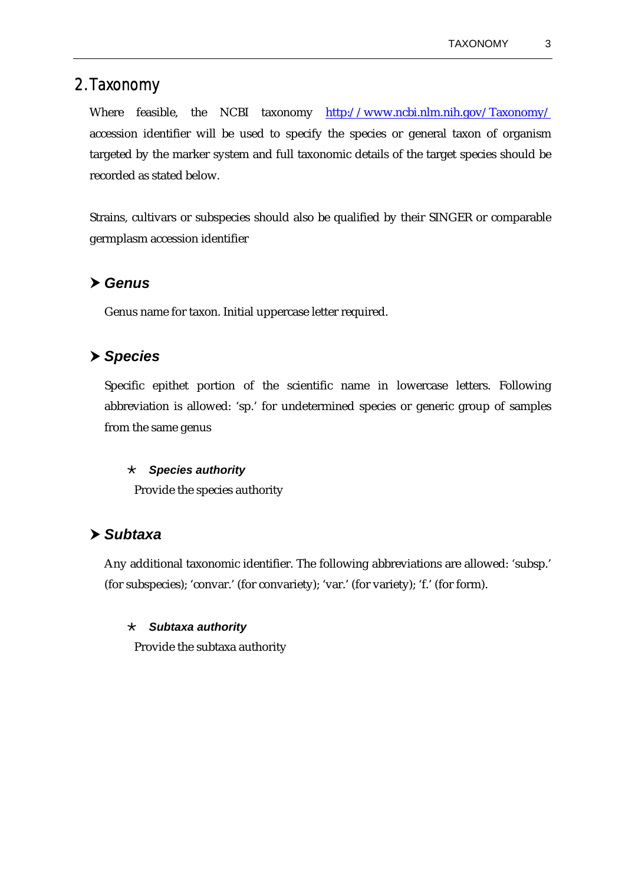# <span id="page-8-0"></span>2. Taxonomy

Where feasible, the NCBI taxonomy <http://www.ncbi.nlm.nih.gov/Taxonomy/> accession identifier will be used to specify the species or general taxon of organism targeted by the marker system and full taxonomic details of the target species should be recorded as stated below.

Strains, cultivars or subspecies should also be qualified by their SINGER or comparable germplasm accession identifier

## h *Genus*

Genus name for taxon. Initial uppercase letter required.

# h *Species*

Specific epithet portion of the scientific name in lowercase letters. Following abbreviation is allowed: 'sp.' for undetermined species or generic group of samples from the same genus

#### · *Species authority*

Provide the species authority

## h *Subtaxa*

Any additional taxonomic identifier. The following abbreviations are allowed: 'subsp.' (for subspecies); 'convar.' (for convariety); 'var.' (for variety); 'f.' (for form).

#### · *Subtaxa authority*

Provide the subtaxa authority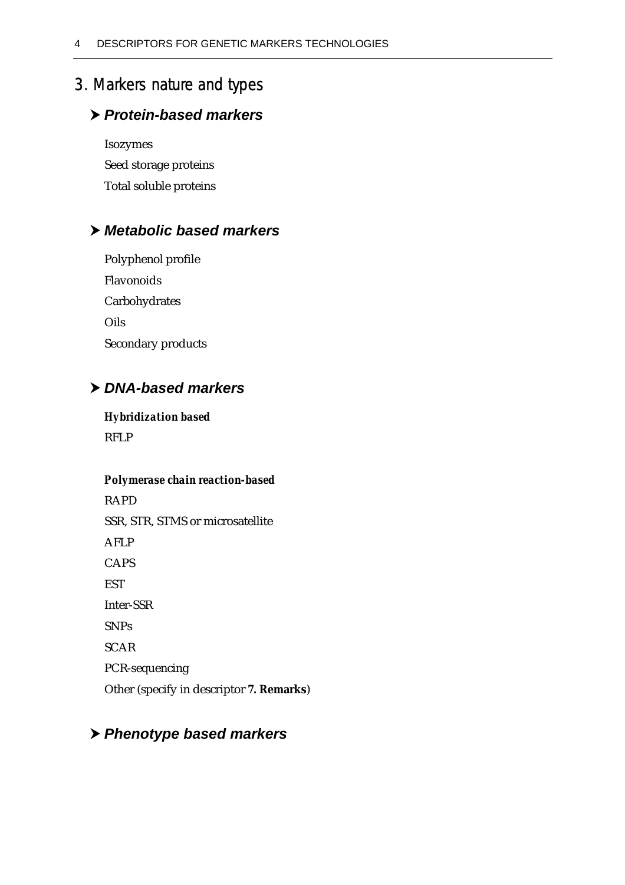# <span id="page-9-0"></span>3. Markers nature and types

# h *Protein-based markers*

Isozymes Seed storage proteins Total soluble proteins

# h *Metabolic based markers*

Polyphenol profile Flavonoids Carbohydrates Oils Secondary products

# h *DNA-based markers*

## *Hybridization based*

RFLP

## *Polymerase chain reaction-based*

RAPD SSR, STR, STMS or microsatellite AFLP CAPS **EST** Inter-SSR SNPs SCAR PCR-sequencing Other (specify in descriptor *7. Remarks*)

# h *Phenotype based markers*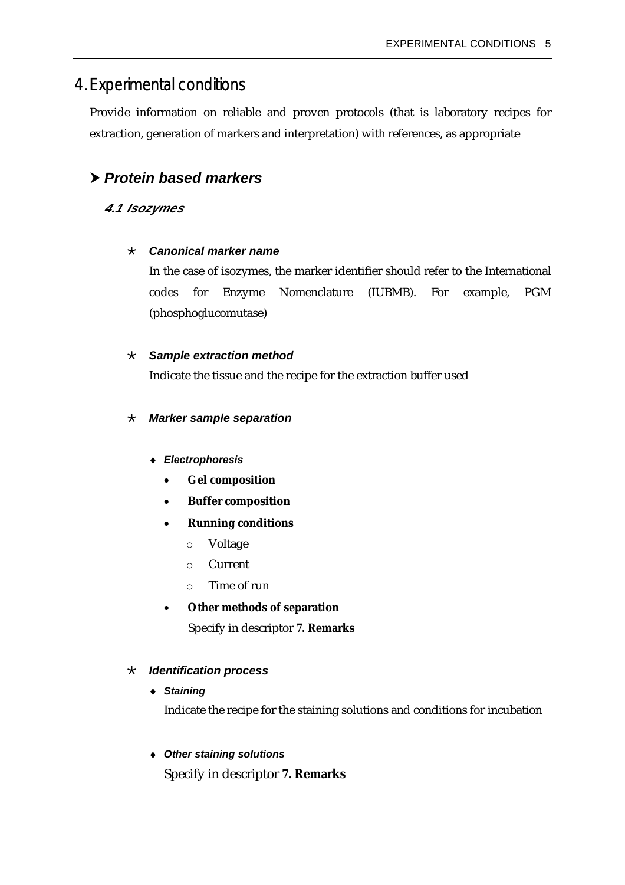# <span id="page-10-0"></span>4. Experimental conditions

Provide information on reliable and proven protocols (that is laboratory recipes for extraction, generation of markers and interpretation) with references, as appropriate

# h *Protein based markers*

## *4.1 Isozymes*

#### · *Canonical marker name*

In the case of isozymes, the marker identifier should refer to the International codes for Enzyme Nomenclature (IUBMB). For example, PGM (phosphoglucomutase)

#### · *Sample extraction method*

Indicate the tissue and the recipe for the extraction buffer used

#### · *Marker sample separation*

- ♦ *Electrophoresis* 
	- *Gel composition*
	- *Buffer composition*
	- *Running conditions* 
		- o Voltage
		- o Current
		- o Time of run
	- *Other methods of separation* Specify in descriptor *7. Remarks*

#### · *Identification process*

♦ *Staining* 

Indicate the recipe for the staining solutions and conditions for incubation

#### ♦ *Other staining solutions*

Specify in descriptor *7. Remarks*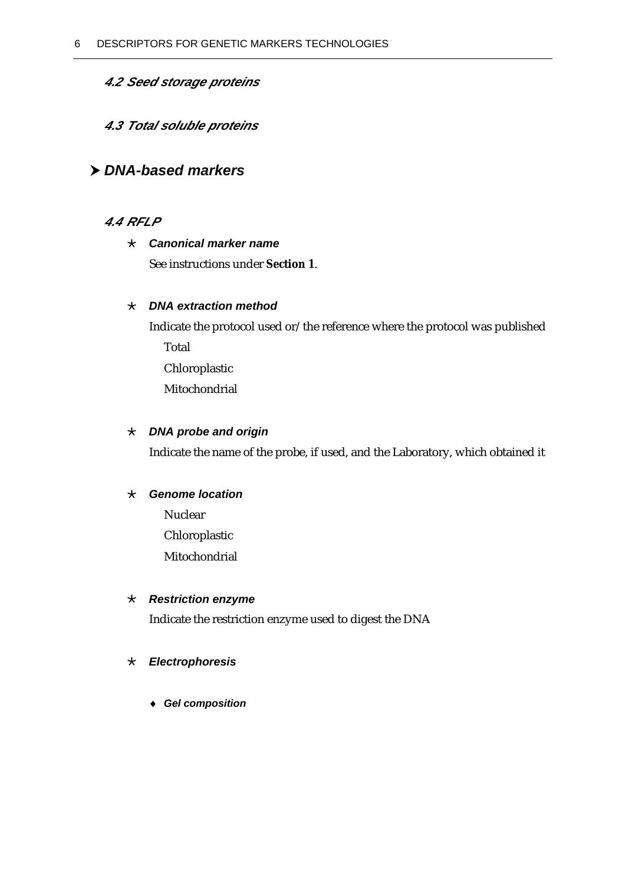## <span id="page-11-0"></span>*4.2 Seed storage proteins*

## *4.3 Total soluble proteins*

## h *DNA-based markers*

## *4.4 RFLP*

## · *Canonical marker name*

See instructions under *Section 1*.

### · *DNA extraction method*

Indicate the protocol used or/the reference where the protocol was published

Total

Chloroplastic

Mitochondrial

## · *DNA probe and origin*

Indicate the name of the probe, if used, and the Laboratory, which obtained it

#### · *Genome location*

Nuclear Chloroplastic Mitochondrial

### · *Restriction enzyme*

Indicate the restriction enzyme used to digest the DNA

#### · *Electrophoresis*

♦ *Gel composition*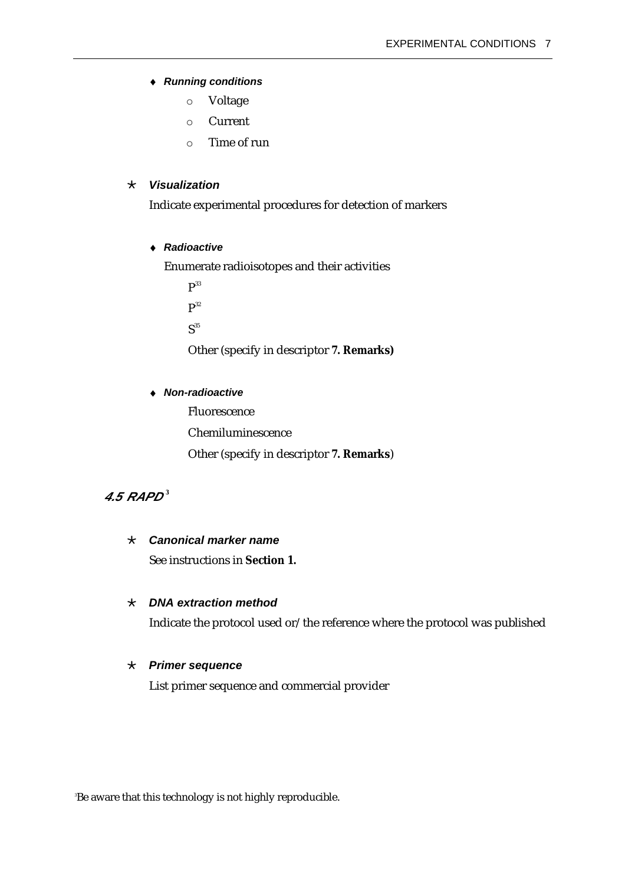#### <span id="page-12-0"></span>♦ *Running conditions*

- o Voltage
- o Current
- o Time of run

#### · *Visualization*

Indicate experimental procedures for detection of markers

#### ♦ *Radioactive*

Enumerate radioisotopes and their activities

 $P^{33}$ 

 $P^{32}$ 

 $S^{35}$ 

Other (specify in descriptor *7. Remarks)* 

#### ♦ *Non-radioactive*

 Fluorescence Chemiluminescence Other (specify in descriptor *7. Remarks*)

## *4.5 RAPD [3](#page-12-1)*

#### · *Canonical marker name*

See instructions in *Section 1.*

#### · *DNA extraction method*

Indicate the protocol used or/the reference where the protocol was published

#### · *Primer sequence*

List primer sequence and commercial provider

<span id="page-12-1"></span>3 Be aware that this technology is not highly reproducible.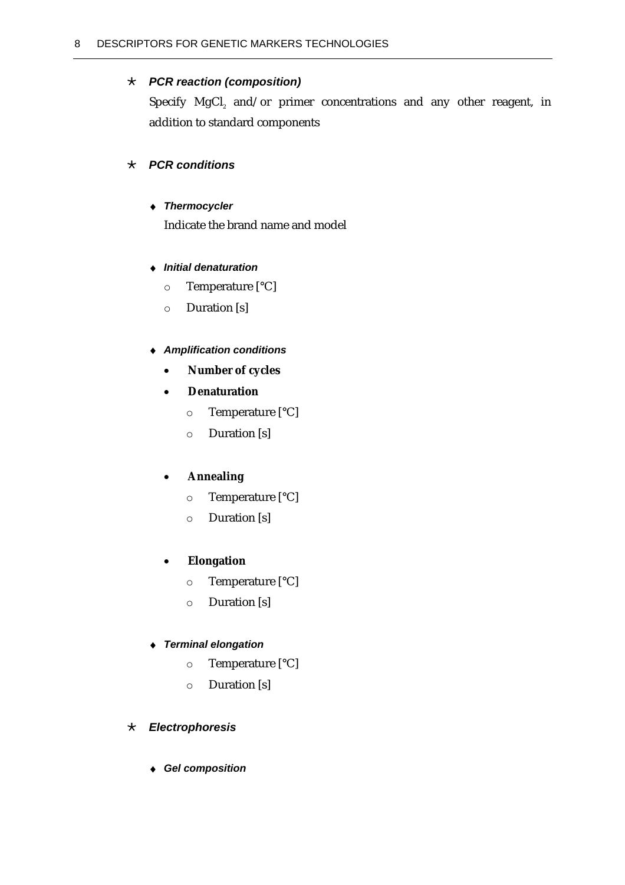### <span id="page-13-0"></span>· *PCR reaction (composition)*

Specify  $MgCl<sub>2</sub>$  and/or primer concentrations and any other reagent, in addition to standard components

## · *PCR conditions*

#### ♦ *Thermocycler*

Indicate the brand name and model

#### ♦ *Initial denaturation*

- o Temperature [°C]
- o Duration [s]

#### ♦ *Amplification conditions*

- *Number of cycles*
- *Denaturation* 
	- o Temperature [°C]
	- o Duration [s]

#### • *Annealing*

- o Temperature [°C]
- o Duration [s]

#### • *Elongation*

- o Temperature [°C]
- o Duration [s]

#### ♦ *Terminal elongation*

- o Temperature [°C]
- o Duration [s]

#### · *Electrophoresis*

♦ *Gel composition*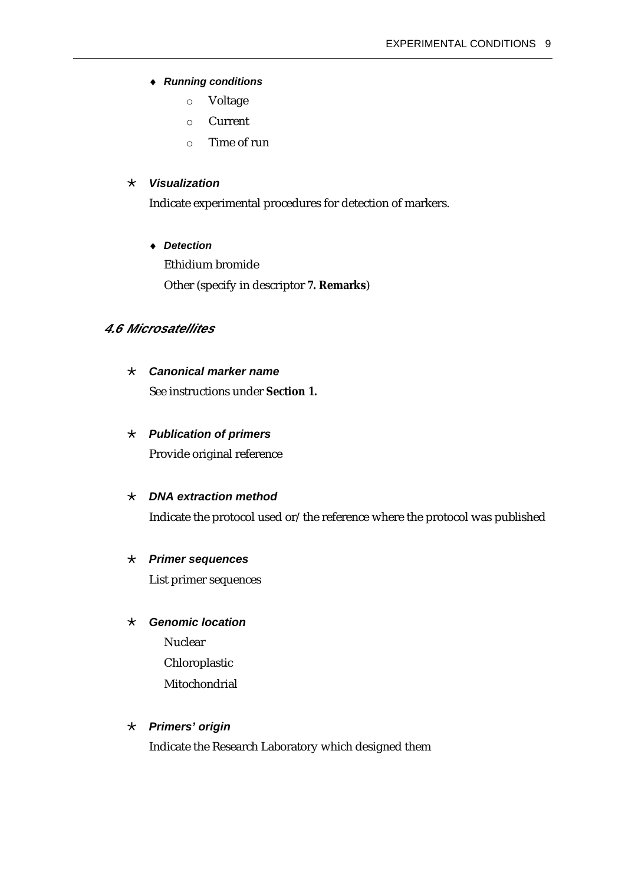#### <span id="page-14-0"></span>♦ *Running conditions*

- o Voltage
- o Current
- o Time of run

#### · *Visualization*

Indicate experimental procedures for detection of markers.

#### ♦ *Detection*

 Ethidium bromide Other (specify in descriptor *7. Remarks*)

## *4.6 Microsatellites*

#### · *Canonical marker name*

See instructions under *Section 1.*

#### · *Publication of primers*

Provide original reference

#### · *DNA extraction method*

Indicate the protocol used or/the reference where the protocol was published

#### · *Primer sequences*

List primer sequences

#### · *Genomic location*

 Nuclear Chloroplastic Mitochondrial

#### · *Primers' origin*

Indicate the Research Laboratory which designed them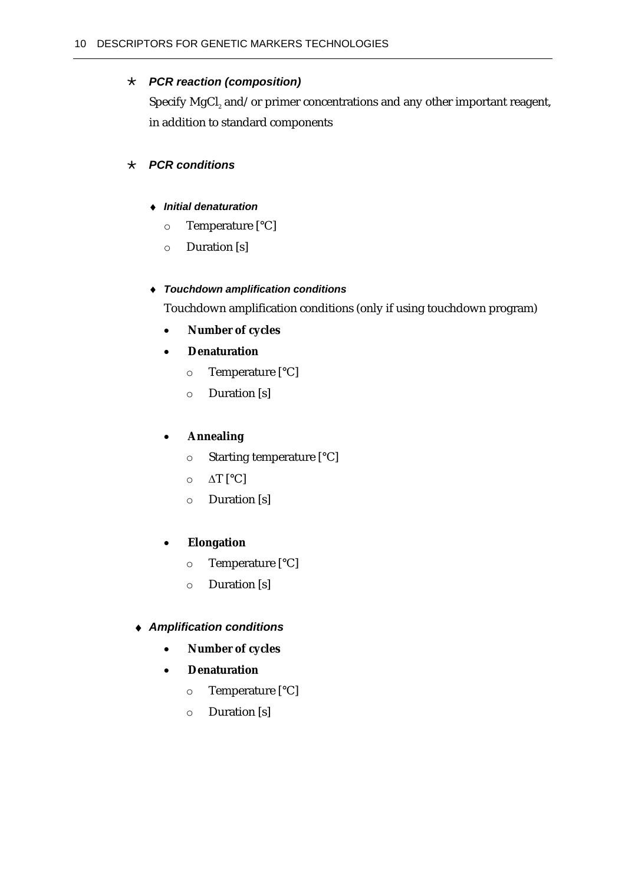## <span id="page-15-0"></span>· *PCR reaction (composition)*

Specify MgCl $_{\tiny 2}$  and/or primer concentrations and any other important reagent, in addition to standard components

## · *PCR conditions*

#### ♦ *Initial denaturation*

- o Temperature [°C]
- o Duration [s]

### ♦ *Touchdown amplification conditions*

Touchdown amplification conditions (only if using touchdown program)

• *Number of cycles* 

## • *Denaturation*

- o Temperature [°C]
- o Duration [s]

## • *Annealing*

- o Starting temperature [°C]
- o ∆T [°C]
- o Duration [s]

## • *Elongation*

- o Temperature [°C]
- o Duration [s]

#### ♦ *Amplification conditions*

- *Number of cycles*
- *Denaturation* 
	- o Temperature [°C]
	- o Duration [s]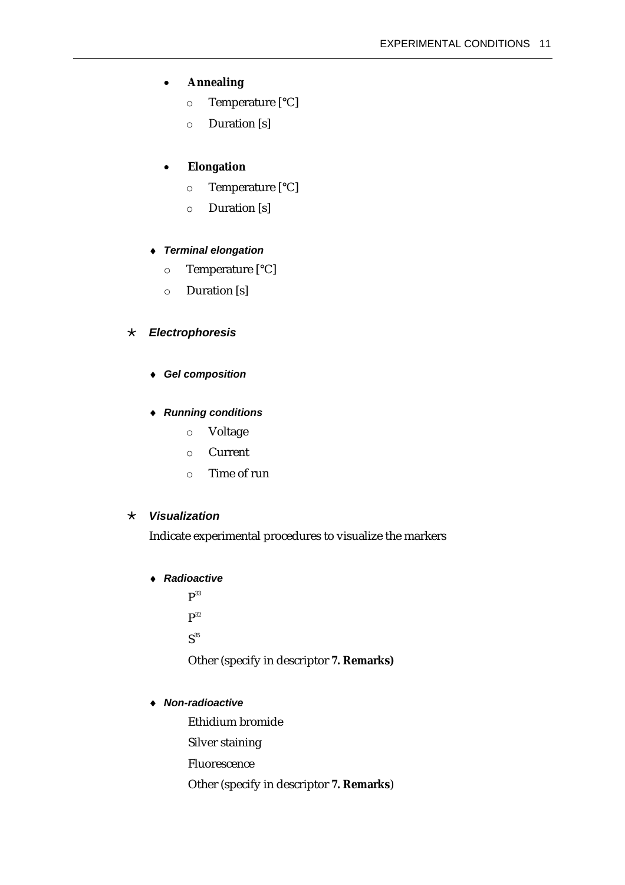#### <span id="page-16-0"></span>• *Annealing*

- o Temperature [°C]
- o Duration [s]

#### • *Elongation*

- o Temperature [°C]
- o Duration [s]

#### ♦ *Terminal elongation*

- o Temperature [°C]
- o Duration [s]

#### · *Electrophoresis*

♦ *Gel composition* 

#### ♦ *Running conditions*

- o Voltage
- o Current
- o Time of run

#### · *Visualization*

Indicate experimental procedures to visualize the markers

#### ♦ *Radioactive*

 $P^{33}$  $P^{32}$  $S^{35}$ 

Other (specify in descriptor *7. Remarks)* 

#### ♦ *Non-radioactive*

 Ethidium bromide Silver staining Fluorescence

Other (specify in descriptor *7. Remarks*)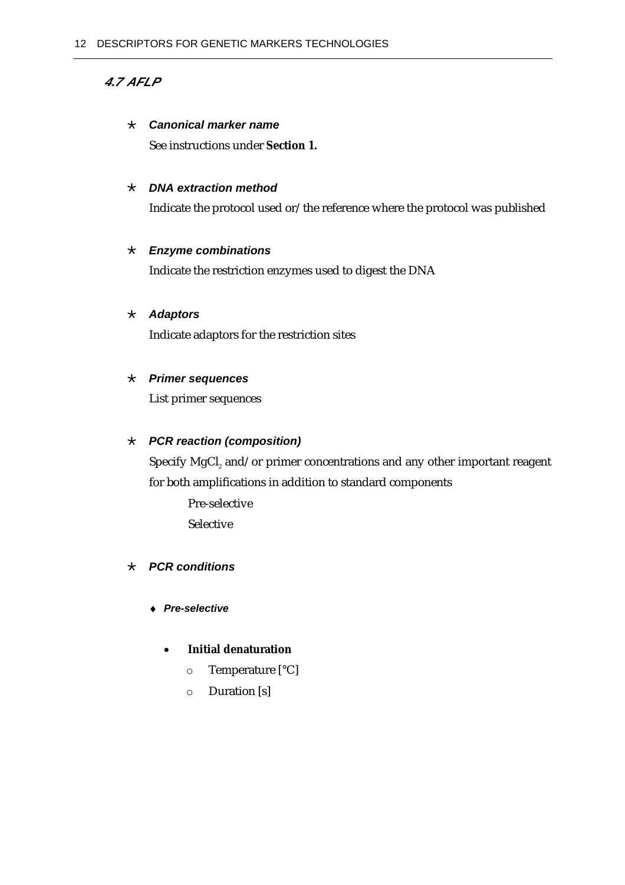## <span id="page-17-0"></span>*4.7 AFLP*

#### · *Canonical marker name*

See instructions under *Section 1.* 

#### · *DNA extraction method*

Indicate the protocol used or/the reference where the protocol was published

#### · *Enzyme combinations*

Indicate the restriction enzymes used to digest the DNA

#### · *Adaptors*

Indicate adaptors for the restriction sites

#### · *Primer sequences*

List primer sequences

### · *PCR reaction (composition)*

Specify MgCl $_{\tiny 2}$  and/or primer concentrations and any other important reagent for both amplifications in addition to standard components

 Pre-selective Selective

#### · *PCR conditions*

- ♦ *Pre-selective* 
	- *Initial denaturation* 
		- o Temperature [°C]
		- o Duration [s]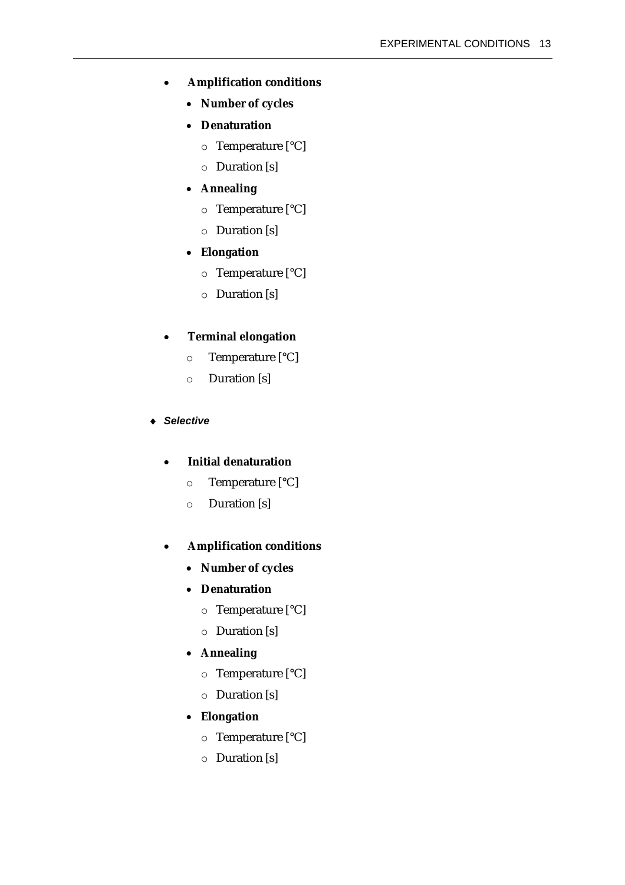- *Amplification conditions* 
	- *Number of cycles*
	- *Denaturation* 
		- o Temperature [°C]
		- o Duration [s]
	- *Annealing* 
		- o Temperature [°C]
		- o Duration [s]
	- *Elongation* 
		- o Temperature [°C]
		- o Duration [s]

#### • *Terminal elongation*

- o Temperature [°C]
- o Duration [s]

#### ♦ *Selective*

#### • *Initial denaturation*

- o Temperature [°C]
- o Duration [s]

#### • *Amplification conditions*

- *Number of cycles*
- *Denaturation* 
	- o Temperature [°C]
	- o Duration [s]

## • *Annealing*

- o Temperature [°C]
- o Duration [s]
- *Elongation* 
	- o Temperature [°C]
	- o Duration [s]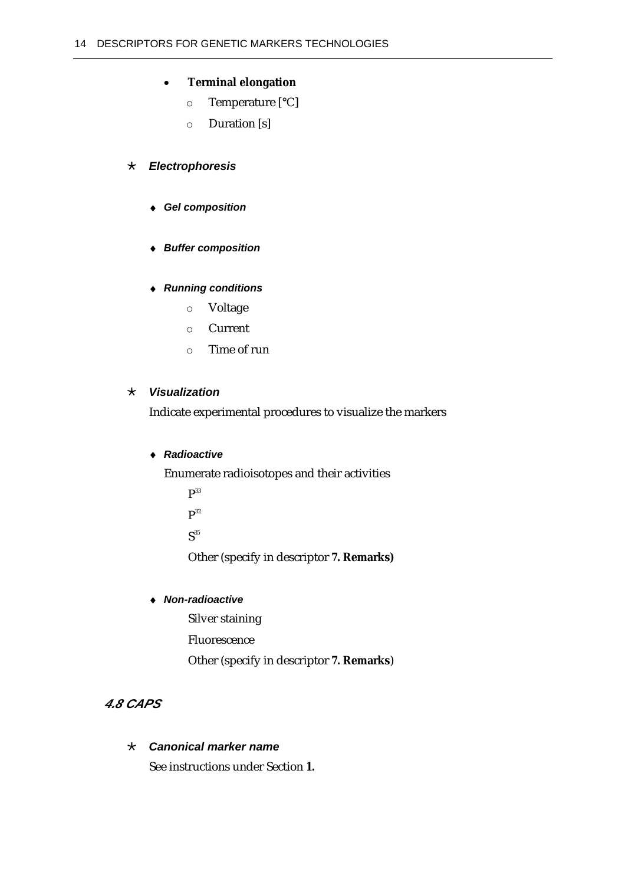## <span id="page-19-0"></span>• *Terminal elongation*

- o Temperature [°C]
- o Duration [s]

## · *Electrophoresis*

- ♦ *Gel composition*
- ♦ *Buffer composition*

## ♦ *Running conditions*

- o Voltage
- o Current
- o Time of run

## · *Visualization*

Indicate experimental procedures to visualize the markers

#### ♦ *Radioactive*

Enumerate radioisotopes and their activities

- $P<sup>33</sup>$
- $P^{32}$

 $S<sup>35</sup>$ 

Other (specify in descriptor *7. Remarks)* 

### ♦ *Non-radioactive*

Silver staining

Fluorescence

Other (specify in descriptor *7. Remarks*)

## *4.8 CAPS*

## · *Canonical marker name*

See instructions under Section *1.*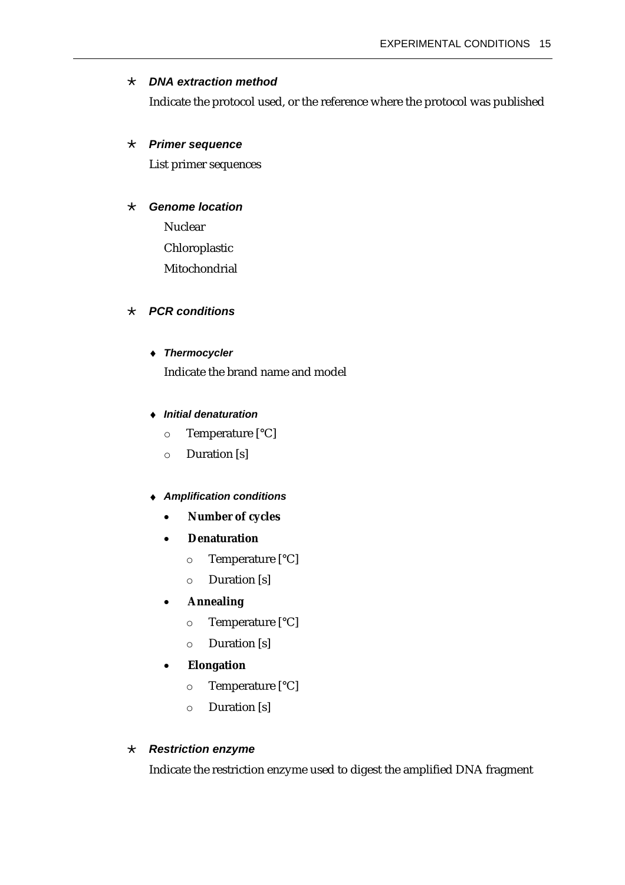#### <span id="page-20-0"></span>· *DNA extraction method*

Indicate the protocol used, or the reference where the protocol was published

#### · *Primer sequence*

List primer sequences

#### · *Genome location*

 Nuclear Chloroplastic Mitochondrial

### · *PCR conditions*

#### ♦ *Thermocycler*

Indicate the brand name and model

#### ♦ *Initial denaturation*

- o Temperature [°C]
- o Duration [s]

#### **Amplification conditions**

- *Number of cycles*
- *Denaturation* 
	- o Temperature [°C]
	- o Duration [s]

## • *Annealing*

- o Temperature [°C]
- o Duration [s]

#### • *Elongation*

- o Temperature [°C]
- o Duration [s]

#### · *Restriction enzyme*

Indicate the restriction enzyme used to digest the amplified DNA fragment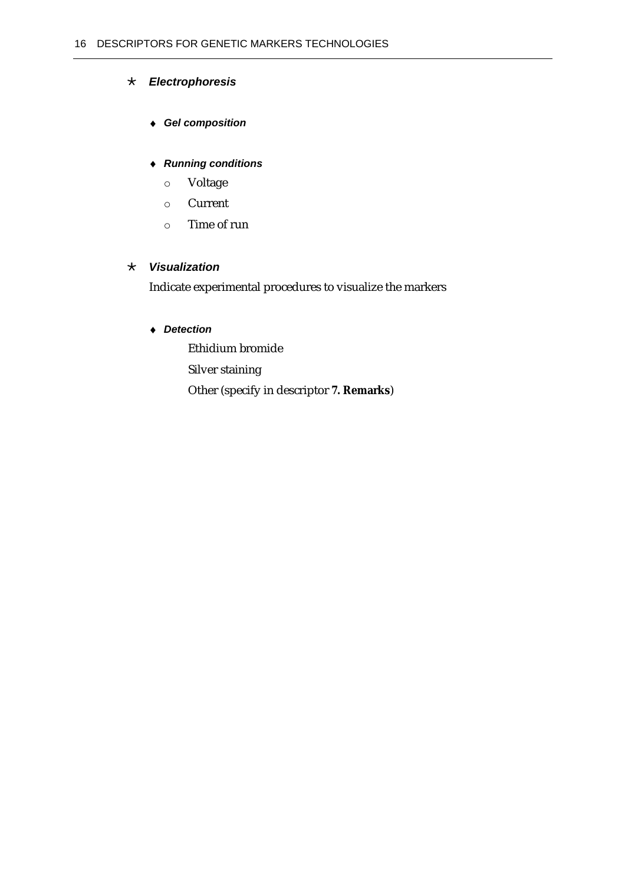## <span id="page-21-0"></span>· *Electrophoresis*

### ♦ *Gel composition*

### ♦ *Running conditions*

- o Voltage
- o Current
- o Time of run

#### · *Visualization*

Indicate experimental procedures to visualize the markers

## ♦ *Detection*

 Ethidium bromide Silver staining Other (specify in descriptor *7. Remarks*)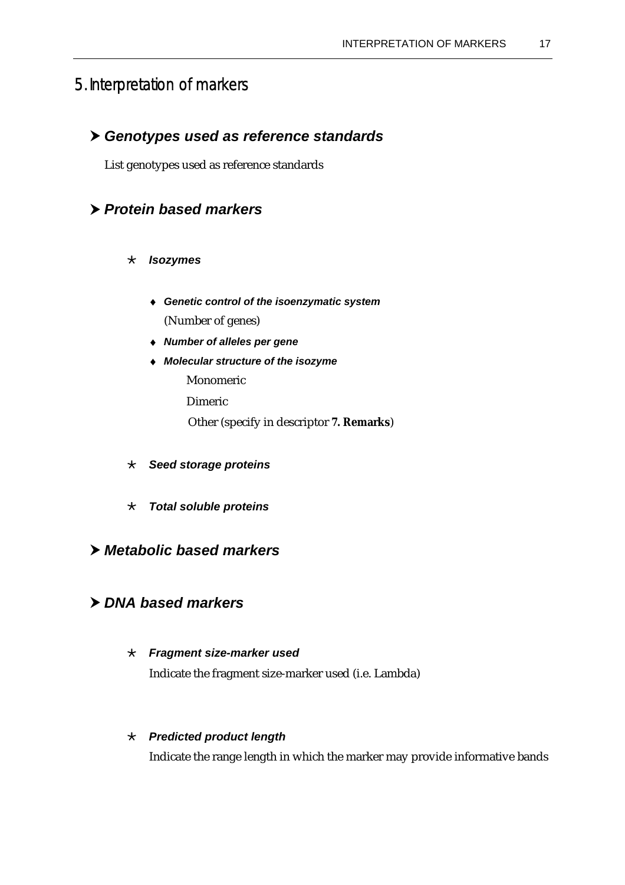# <span id="page-22-3"></span>5. Interpretation of markers

## h *Genotypes used as reference standards*

List genotypes used as reference standards

# h *Protein based markers*

#### · *Isozymes*

- <span id="page-22-0"></span>♦ *Genetic control of the isoenzymatic system*  (Number of genes)
- <span id="page-22-1"></span>♦ *Number of alleles per gene*
- <span id="page-22-2"></span>♦ *Molecular structure of the isozyme*  Monomeric
	- Dimeric
	- Other (specify in descriptor *7. Remarks*)
- · *Seed storage proteins*
- · *Total soluble proteins*

## h *Metabolic based markers*

## h *DNA based markers*

#### · *Fragment size-marker used*

Indicate the fragment size-marker used (i.e. Lambda)

#### · *Predicted product length*

Indicate the range length in which the marker may provide informative bands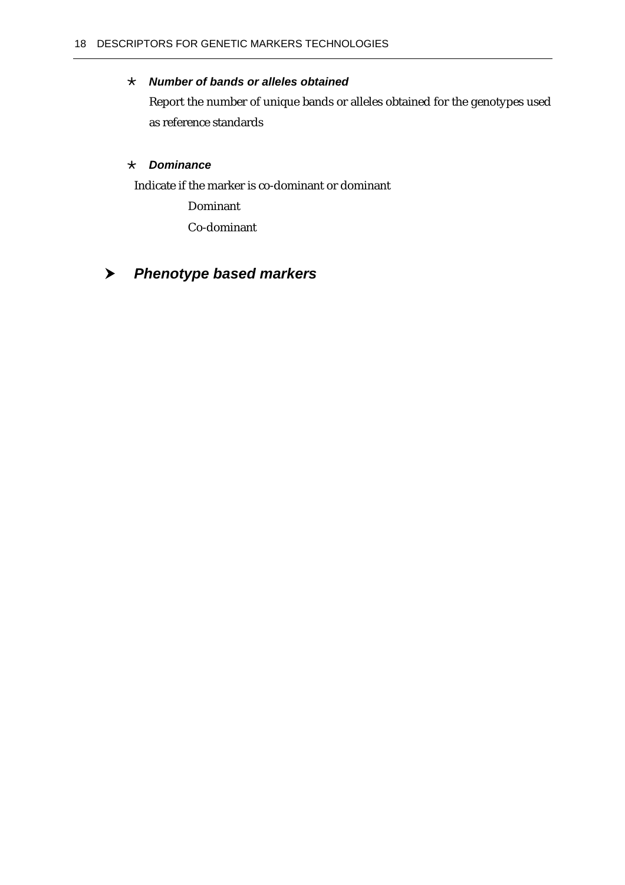## <span id="page-23-0"></span>· *Number of bands or alleles obtained*

Report the number of unique bands or alleles obtained for the genotypes used as reference standards

## · *Dominance*

Indicate if the marker is co-dominant or dominant

Dominant

Co-dominant

# h *Phenotype based markers*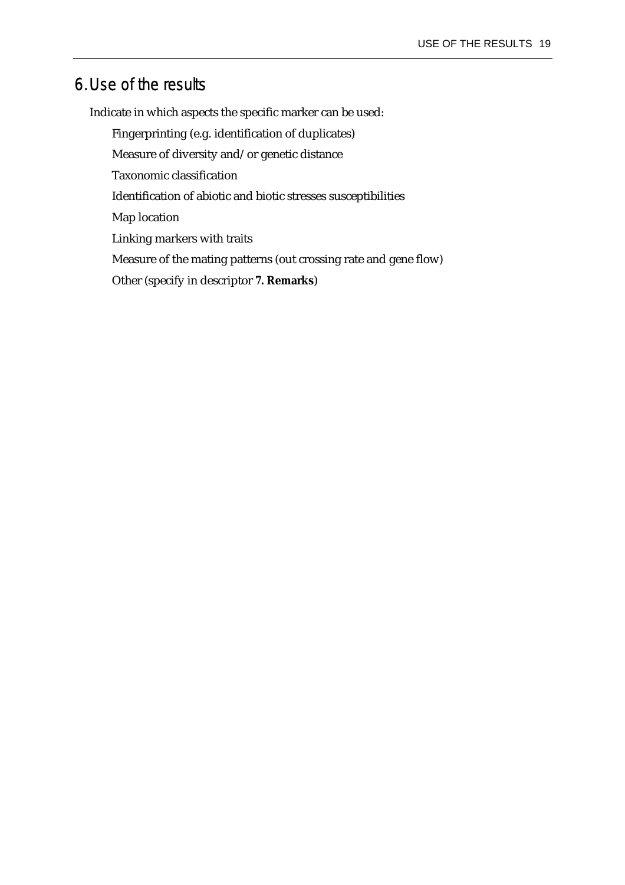# <span id="page-24-0"></span>6. Use of the results

Indicate in which aspects the specific marker can be used:

Fingerprinting (e.g. identification of duplicates)

Measure of diversity and/or genetic distance

Taxonomic classification

Identification of abiotic and biotic stresses susceptibilities

Map location

Linking markers with traits

Measure of the mating patterns (out crossing rate and gene flow)

Other (specify in descriptor *7. Remarks*)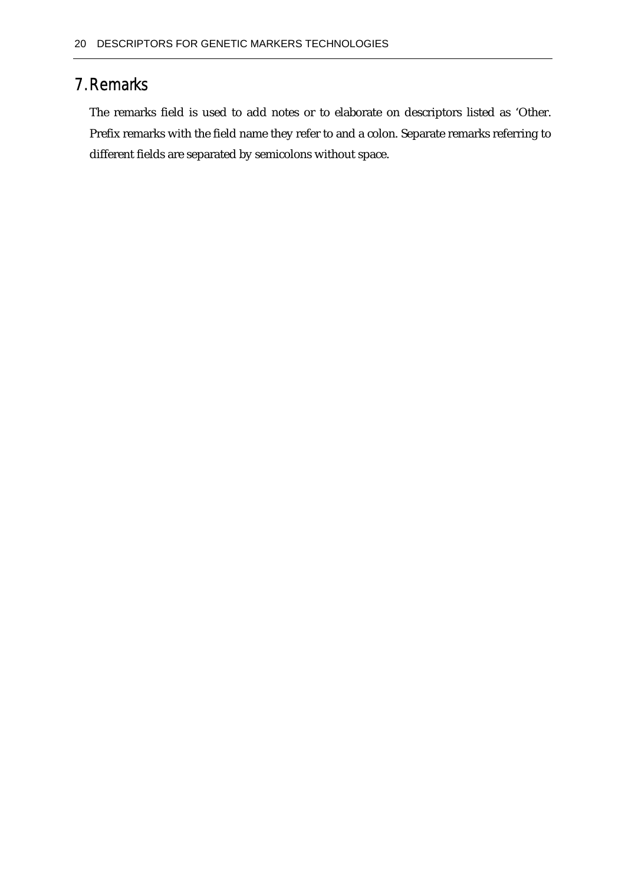# <span id="page-25-0"></span>7. Remarks

The remarks field is used to add notes or to elaborate on descriptors listed as 'Other. Prefix remarks with the field name they refer to and a colon. Separate remarks referring to different fields are separated by semicolons without space.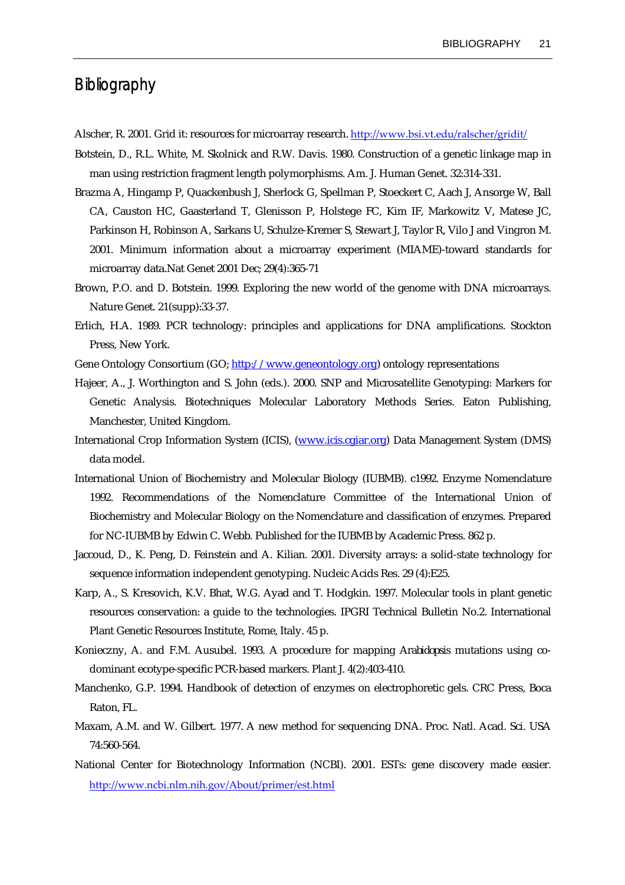# <span id="page-26-0"></span>Bibliography

- Alscher, R. 2001. Grid it: resources for microarray research. <http://www.bsi.vt.edu/ralscher/gridit/>
- Botstein, D., R.L. White, M. Skolnick and R.W. Davis. 1980. Construction of a genetic linkage map in man using restriction fragment length polymorphisms. Am. J. Human Genet. 32:314-331.
- Brazma A, Hingamp P, Quackenbush J, Sherlock G, Spellman P, Stoeckert C, Aach J, Ansorge W, Ball CA, Causton HC, Gaasterland T, Glenisson P, Holstege FC, Kim IF, Markowitz V, Matese JC, Parkinson H, Robinson A, Sarkans U, Schulze-Kremer S, Stewart J, Taylor R, Vilo J and Vingron M. 2001. Minimum information about a microarray experiment (MIAME)-toward standards for microarray data.Nat Genet 2001 Dec; 29(4):365-71
- Brown, P.O. and D. Botstein. 1999. Exploring the new world of the genome with DNA microarrays. Nature Genet. 21(supp):33-37.
- Erlich, H.A. 1989. PCR technology: principles and applications for DNA amplifications. Stockton Press, New York.
- Gene Ontology Consortium (GO; [http://www.geneontology.org\)](http://www.geneontology.org/) ontology representations
- Hajeer, A., J. Worthington and S. John (eds.). 2000. SNP and Microsatellite Genotyping: Markers for Genetic Analysis. Biotechniques Molecular Laboratory Methods Series. Eaton Publishing, Manchester, United Kingdom.
- International Crop Information System (ICIS), ([www.icis.cgiar.org\)](http://www.icis.cgiar.org/) Data Management System (DMS) data model.
- International Union of Biochemistry and Molecular Biology (IUBMB). c1992. Enzyme Nomenclature 1992. Recommendations of the Nomenclature Committee of the International Union of Biochemistry and Molecular Biology on the Nomenclature and classification of enzymes. Prepared for NC-IUBMB by Edwin C. Webb. Published for the IUBMB by Academic Press. 862 p.
- Jaccoud, D., K. Peng, D. Feinstein and A. Kilian. 2001. Diversity arrays: a solid-state technology for sequence information independent genotyping. Nucleic Acids Res. 29 (4):E25.
- Karp, A., S. Kresovich, K.V. Bhat, W.G. Ayad and T. Hodgkin. 1997. Molecular tools in plant genetic resources conservation: a guide to the technologies. IPGRI Technical Bulletin No.2. International Plant Genetic Resources Institute, Rome, Italy. 45 p.
- Konieczny, A. and F.M. Ausubel. 1993. A procedure for mapping *Arabidopsis* mutations using codominant ecotype-specific PCR-based markers. Plant J. 4(2):403-410.
- Manchenko, G.P. 1994. Handbook of detection of enzymes on electrophoretic gels. CRC Press, Boca Raton, FL.
- Maxam, A.M. and W. Gilbert. 1977. A new method for sequencing DNA. Proc. Natl. Acad. Sci. USA 74:560-564.
- National Center for Biotechnology Information (NCBI). 2001. ESTs: gene discovery made easier. <http://www.ncbi.nlm.nih.gov/About/primer/est.html>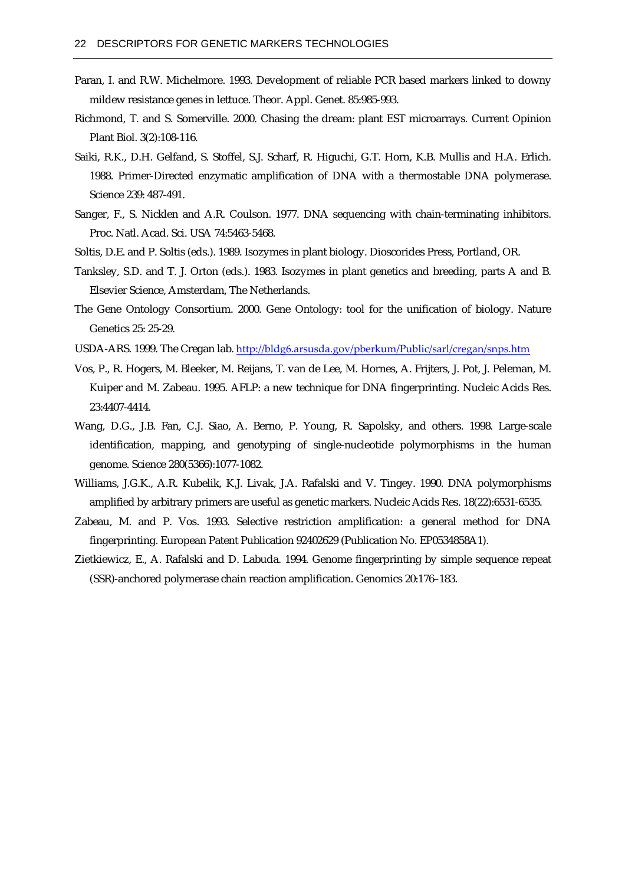- Paran, I. and R.W. Michelmore. 1993. Development of reliable PCR based markers linked to downy mildew resistance genes in lettuce. Theor. Appl. Genet. 85:985-993.
- Richmond, T. and S. Somerville. 2000. Chasing the dream: plant EST microarrays. Current Opinion Plant Biol. 3(2):108-116.
- Saiki, R.K., D.H. Gelfand, S. Stoffel, S.J. Scharf, R. Higuchi, G.T. Horn, K.B. Mullis and H.A. Erlich. 1988. Primer-Directed enzymatic amplification of DNA with a thermostable DNA polymerase. Science 239: 487-491.
- Sanger, F., S. Nicklen and A.R. Coulson. 1977. DNA sequencing with chain-terminating inhibitors. Proc. Natl. Acad. Sci. USA 74:5463-5468.
- Soltis, D.E. and P. Soltis (eds.). 1989. Isozymes in plant biology. Dioscorides Press, Portland, OR.
- Tanksley, S.D. and T. J. Orton (eds.). 1983. Isozymes in plant genetics and breeding, parts A and B. Elsevier Science, Amsterdam, The Netherlands.
- The Gene Ontology Consortium. 2000. Gene Ontology: tool for the unification of biology. Nature Genetics 25: 25-29.
- USDA-ARS. 1999. The Cregan lab. <http://bldg6.arsusda.gov/pberkum/Public/sarl/cregan/snps.htm>
- Vos, P., R. Hogers, M. Bleeker, M. Reijans, T. van de Lee, M. Hornes, A. Frijters, J. Pot, J. Peleman, M. Kuiper and M. Zabeau. 1995. AFLP: a new technique for DNA fingerprinting. Nucleic Acids Res. 23:4407-4414.
- Wang, D.G., J.B. Fan, C.J. Siao, A. Berno, P. Young, R. Sapolsky, and others. 1998. Large-scale identification, mapping, and genotyping of single-nucleotide polymorphisms in the human genome. Science 280(5366):1077-1082.
- Williams, J.G.K., A.R. Kubelik, K.J. Livak, J.A. Rafalski and V. Tingey. 1990. DNA polymorphisms amplified by arbitrary primers are useful as genetic markers. Nucleic Acids Res. 18(22):6531-6535.
- Zabeau, M. and P. Vos. 1993. Selective restriction amplification: a general method for DNA fingerprinting. European Patent Publication 92402629 (Publication No. EP0534858A1).
- Zietkiewicz, E., A. Rafalski and D. Labuda. 1994. Genome fingerprinting by simple sequence repeat (SSR)-anchored polymerase chain reaction amplification. Genomics 20:176–183.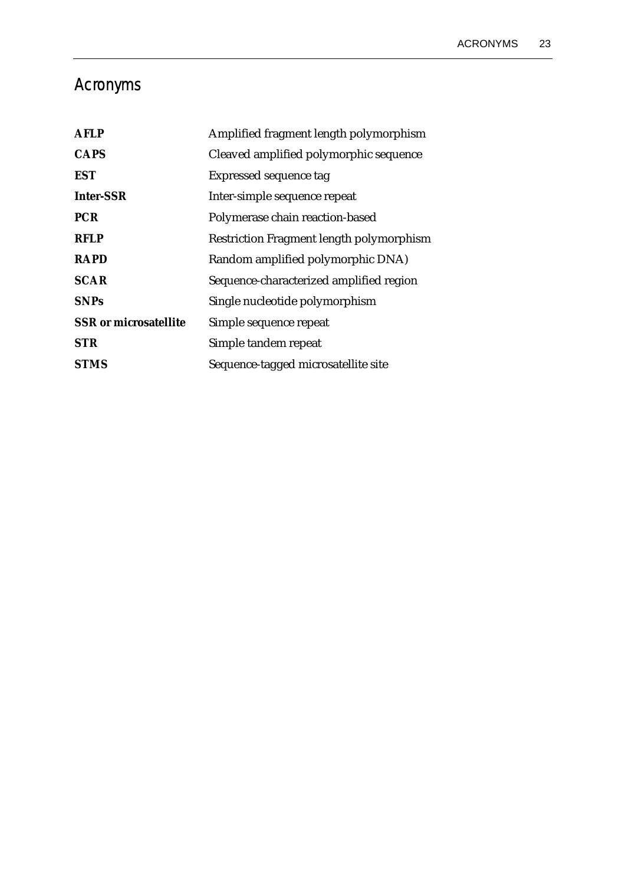# <span id="page-28-0"></span>Acronyms

| <b>AFLP</b>                  | Amplified fragment length polymorphism   |
|------------------------------|------------------------------------------|
| <b>CAPS</b>                  | Cleaved amplified polymorphic sequence   |
| <i>EST</i>                   | Expressed sequence tag                   |
| <b>Inter-SSR</b>             | Inter-simple sequence repeat             |
| <b>PCR</b>                   | Polymerase chain reaction-based          |
| <b>RFLP</b>                  | Restriction Fragment length polymorphism |
| <b>RAPD</b>                  | Random amplified polymorphic DNA)        |
| <b>SCAR</b>                  | Sequence-characterized amplified region  |
| <b>SNPs</b>                  | Single nucleotide polymorphism           |
| <b>SSR</b> or microsatellite | Simple sequence repeat                   |
| <b>STR</b>                   | Simple tandem repeat                     |
| <b>STMS</b>                  | Sequence-tagged microsatellite site      |